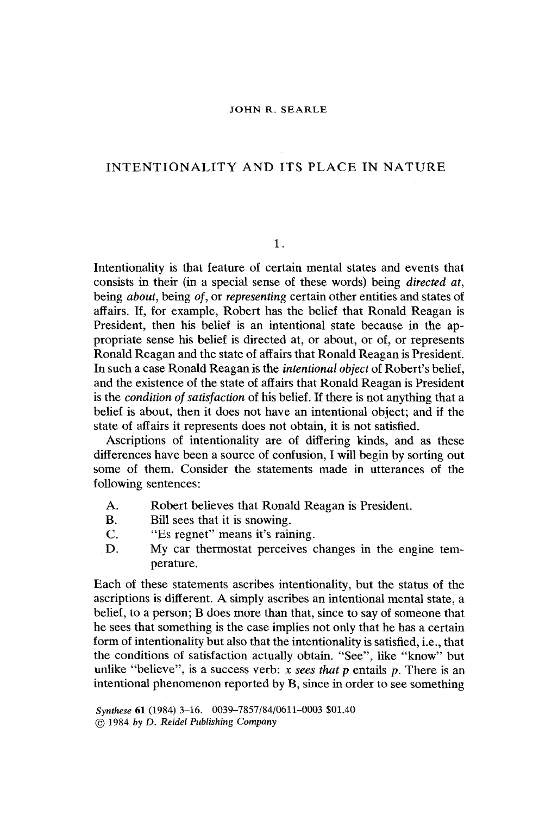#### JOHN R. SEARLE

# INTENTIONALITY AND ITS PLACE IN NATURE

## .

Intentionality is that feature of certain mental states and events that consists in their (in a special sense of these words) being *directed at,*  being *about,* being *of,* or *representing* certain other entities and states of affairs. If, for example, Robert has the belief that Ronald Reagan is President, then his belief is an intentional state because in the appropriate sense his belief is directed at, or about, or of, or represents Ronald Reagan and the state of affairs that Ronald Reagan is President. In such a case Ronald Reagan is the *intentional object* of Robert's belief, and the existence of the state of affairs that Ronald Reagan is President is the *condition of satisfaction* of his belief. If there is not anything that a belief is about, then it does not have an intentional object; and if the state of affairs it represents does not obtain, it is not satisfied.

Ascriptions of intentionality are of differing kinds, and as these differences have been a source of confusion, I will begin by sorting out some of them. Consider the statements made in utterances of the following sentences:

- A. Robert believes that Ronald Reagan is President.
- B. Bill sees that it is snowing.
- C. "Es regnet" means it's raining.
- D. My car thermostat perceives changes in the engine temperature.

Each of these statements ascribes intentionality, but the status of the ascriptions is different. A simply ascribes an intentional mental state, a belief, to a person; B does more than that, since to say of someone that he sees that something is the case implies not only that he has a certain form of intentionality but also that the intentionality is satisfied, i.e., that the conditions of satisfaction actually obtain. "See", like "know" but unlike "believe", is a success verb: *x sees that p* entails *p*. There is an intentional phenomenon reported by B, since in order to see something

*Synthese* 61 (1984) 3-16. 0039-7857/84/0611-0003 \$01.40 O 1984 *by D. Reidel Publishing Company*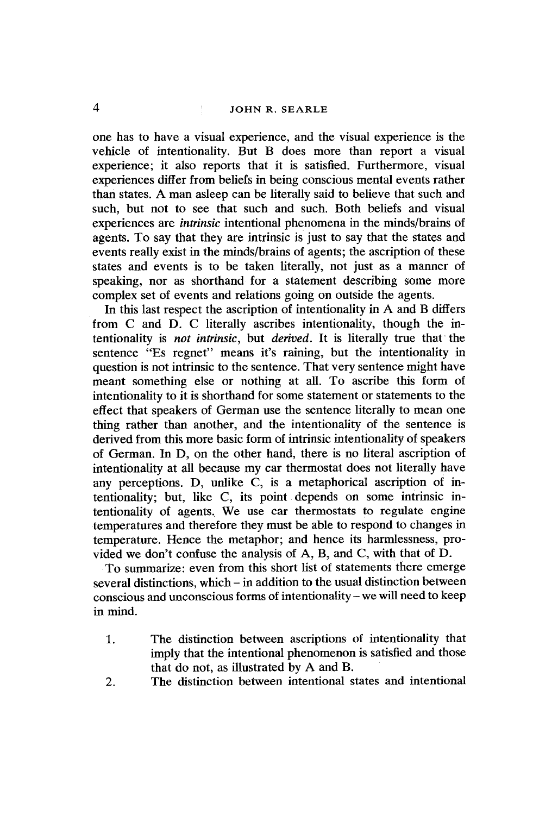#### 4 JOHN R. SEARLE

one has to have a visual experience, and the visual experience is the vehicle of intentionality. But B does more than report a visual experience; it also reports that it is satisfied. Furthermore, visual experiences differ from beliefs in being conscious mental events rather than states. A man asleep can be literally said to believe that such and such, but not to see that such and such. Both beliefs and visual experiences are *intrinsic* intentional phenomena in the minds/brains of agents. To say that they are intrinsic is just to say that the states and events really exist in the minds/brains of agents; the ascription of these states and events is to be taken literally, not just as a manner of speaking, nor as shorthand for a statement describing some more complex set of events and relations going on outside the agents.

In this last respect the ascription of intentionality in A and B differs from C and D. C literally ascribes intentionality, though the intentionality is *not intrinsic,* but *derived.* It is literally true that the sentence "Es regnet" means it's raining, but the intentionality in question is not intrinsic to the sentence. That very sentence might have meant something else or nothing at all. To ascribe this form of intentionality to it is shorthand for some statement or statements to the effect that speakers of German use the sentence literally to mean one thing rather than another, and the intentionality of the sentence is derived from this more basic form of intrinsic intentionality of speakers of German. In D, on the other hand, there is no literal ascription of intentionality at all because my car thermostat does not literally have any perceptions. D, unlike C, is a metaphorical ascription of intentionality; but, like C, its point depends on some intrinsic intentionality of agents, We use car thermostats to regulate engine temperatures and therefore they must be able to respond to changes in temperature. Hence the metaphor; and hence its harmlessness, provided we don't confuse the analysis of A, B, and C, with that of D.

To summarize: even from this short list of statements there emerge several distinctions, which - in addition to the usual distinction between conscious and unconscious forms of intentionality- we will need to keep in mind.

- . The distinction between ascriptions of intentionality that imply that the intentional phenomenon is satisfied and those that do not, as illustrated by A and B.
- . The distinction between intentional states and intentional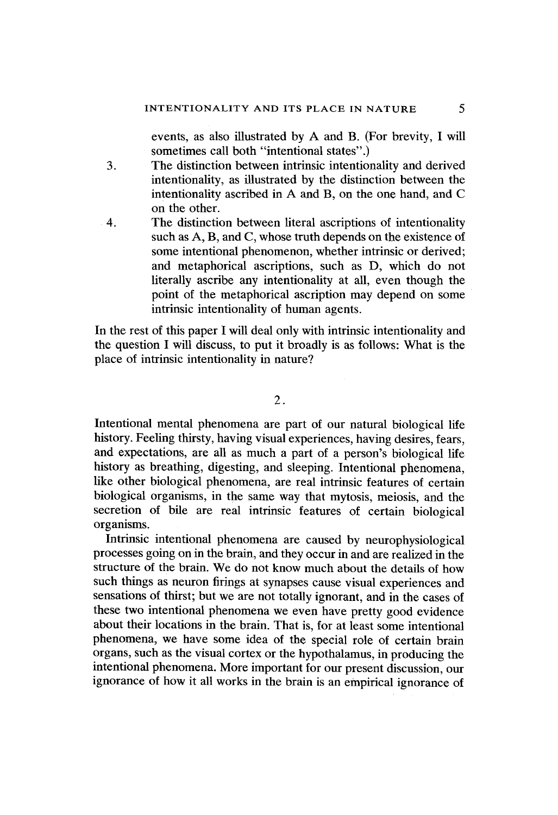events, as also illustrated by A and B. (For brevity, I will sometimes call both "intentional states",)

- 3. The distinction between intrinsic intentionality and derived intentionality, as illustrated by the distinction between the intentionality ascribed in A and B, on the one hand, and C on the other.
- 4. The distinction between literal ascriptions of intentionality such as A, B, and C, whose truth depends on the existence of some intentional phenomenon, whether intrinsic or derived; and metaphorical ascriptions, such as D, which do not literally ascribe any intentionality at all, even though the point of the metaphorical ascription may depend on some intrinsic intentionality of human agents.

In the rest of this paper I will deal only with intrinsic intentionality and the question I will discuss, to put it broadly is as follows: What is the place of intrinsic intentionality in nature?

.

Intentional mental phenomena are part of our natural biological life history. Feeling thirsty, having visual experiences, having desires, fears, and expectations, are all as much a part of a person's biological life history as breathing, digesting, and sleeping. Intentional phenomena, like other biological phenomena, are real intrinsic features of certain biological organisms, in the same way that mytosis, meiosis, and the secretion of bile are real intrinsic features of certain biological organisms.

Intrinsic intentional phenomena are caused by neurophysiological processes going on in the brain, and they occur in and are realized in the structure of the brain. We do not know much about the details of how such things as neuron firings at synapses cause visual experiences and sensations of thirst; but we are not totally ignorant, and in the cases of these two intentional phenomena we even have pretty good evidence about their locations in the brain. That is, for at least some intentional phenomena, we have some idea of the special role of certain brain organs, such as the visual cortex or the hypothalamus, in producing the intentional phenomena. More important for our present discussion, our ignorance of how it all works in the brain is an empirical ignorance of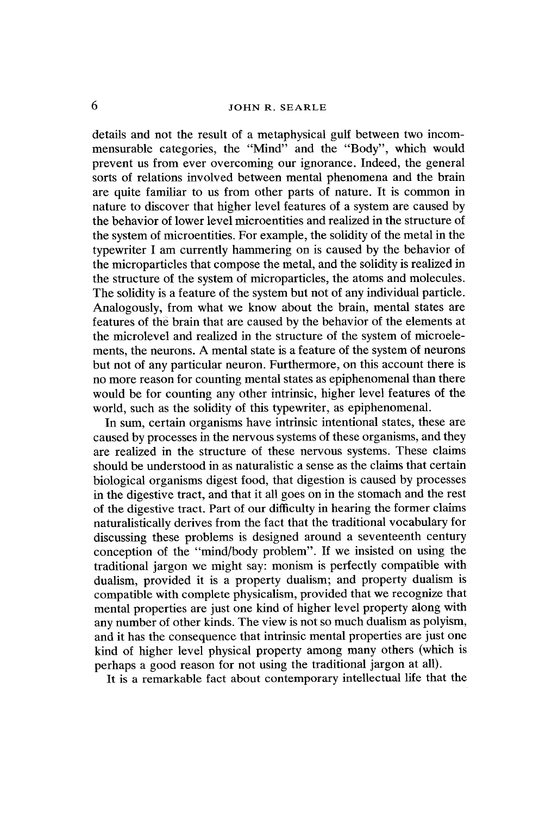details and not the result of a metaphysical gulf between two incommensurable categories, the "Mind" and the "Body", which would prevent us from ever overcoming our ignorance. Indeed, the general sorts of relations involved between mental phenomena and the brain are quite familiar to us from other parts of nature. It is common in nature to discover that higher level features of a system are caused by the behavior of lower level microentities and realized in the structure of the system of microentities. For example, the solidity of the metal in the typewriter I am currently hammering on is caused by the behavior of the microparticles that compose the metal, and the solidity is realized in the structure of the system of microparticles, the atoms and molecules. The solidity is a feature of the system but not of any individual particle. Analogously, from what we know about the brain, mental states are features of the brain that are caused by the behavior of the elements at the microlevel and realized in the structure of the system of microelements, the neurons. A mental state is a feature of the system of neurons but not of any particular neuron. Furthermore, on this account there is no more reason for counting mental states as epiphenomenal than there would be for counting any other intrinsic, higher level features of the world, such as the solidity of this typewriter, as epiphenomenal.

In sum, certain organisms have intrinsic intentional states, these are caused by processes in the nervous systems of these organisms, and they are realized in the structure of these nervous systems. These claims should be understood in as naturalistic a sense as the claims that certain biological organisms digest food, that digestion is caused by processes in the digestive tract, and that it all goes on in the stomach and the rest of the digestive tract. Part of our difficulty in hearing the former claims naturalistically derives from the fact that the traditional vocabulary for discussing these problems is designed around a seventeenth century conception of the "mind/body problem". If we insisted on using the traditional jargon we might say: monism is perfectly compatible with dualism, provided it is a property dualism; and property dualism is compatible with complete physicalism, provided that we recognize that mental properties are just one kind of higher level property along with any number of other kinds. The view is not so much dualism as polyism, and it has the consequence that intrinsic mental properties are just one kind of higher level physical property among many others (which is perhaps a good reason for not using the traditional jargon at all).

It is a remarkable fact about contemporary intellectual life that the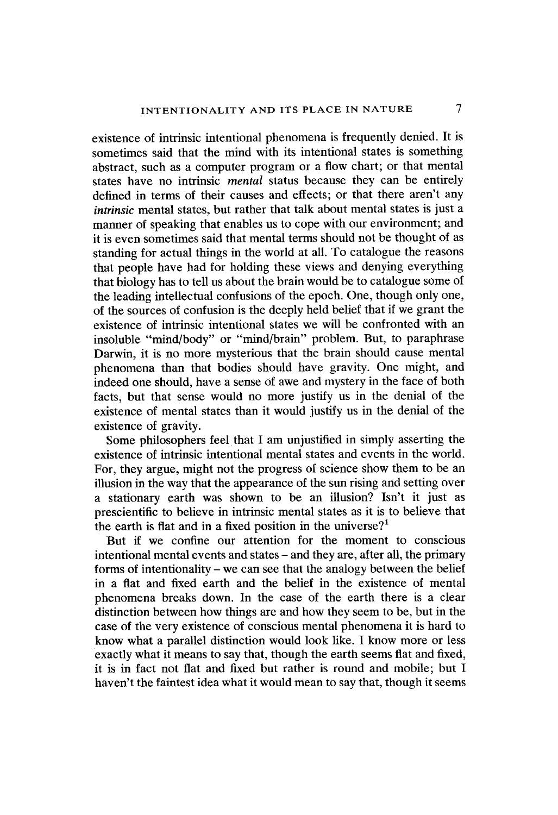existence of intrinsic intentional phenomena is frequently denied. It is sometimes said that the mind with its intentional states is something abstract, such as a computer program or a flow chart; or that mental states have no intrinsic *mental* status because they can be entirely defined in terms of their causes and effects; or that there aren't any *intrinsic* mental states, but rather that talk about mental states is just a manner of speaking that enables us to cope with our environment; and it is even sometimes said that mental terms should not be thought of as standing for actual things in the world at all. To catalogue the reasons that people have had for holding these views and denying everything that biology has to tell us about the brain would be to catalogue some of the leading intellectual confusions of the epoch. One, though only one, of the sources of confusion is the deeply held belief that if we grant the existence of intrinsic intentional states we will be confronted with an insoluble "mind/body" or "mind/brain" problem. But, to paraphrase Darwin, it is no more mysterious that the brain should cause mental phenomena than that bodies should have gravity. One might, and indeed one should, have a sense of awe and mystery in the face of both facts, but that sense would no more justify us in the denial of the existence of mental states than it would justify us in the denial of the existence of gravity.

Some philosophers feel that I am unjustifed in simply asserting the existence of intrinsic intentional mental states and events in the world. For, they argue, might not the progress of science show them to be an illusion in the way that the appearance of the sun rising and setting over a stationary earth was shown to be an illusion? Isn't it just as prescientific to believe in intrinsic mental states as it is to believe that the earth is flat and in a fixed position in the universe?<sup>1</sup>

But if we confine our attention for the moment to conscious intentional mental events and states – and they are, after all, the primary forms of intentionality - we can see that the analogy between the belief in a fiat and fixed earth and the belief in the existence of mental phenomena breaks down. In the case of the earth there is a clear distinction between how things are and how they seem to be, but in the case of the very existence of conscious mental phenomena it is hard to know what a parallel distinction would look like. I know more or less exactly what it means to say that, though the earth seems fiat and fixed, it is in fact not fiat and fixed but rather is round and mobile; but I haven't the faintest idea what it would mean to say that, though it seems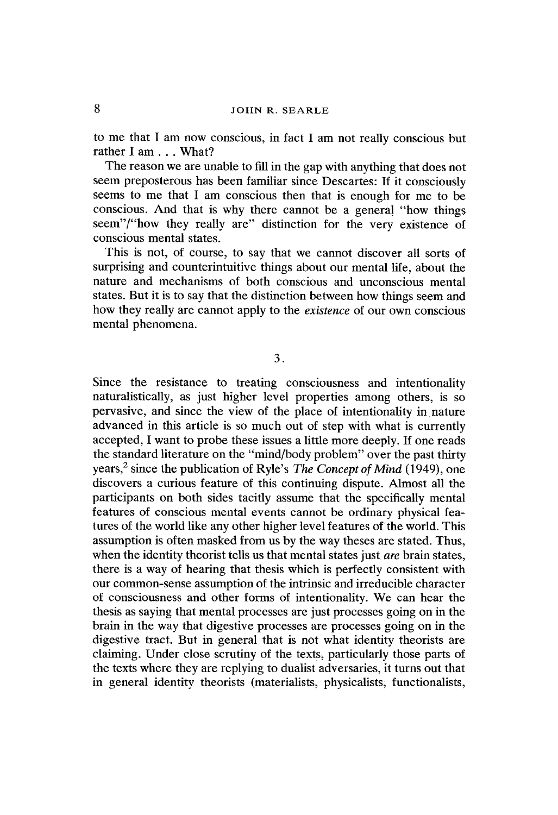to me that I am now conscious, in fact I am not really conscious but rather I am... What?

The reason we are unable to fill in the gap with anything that does not seem preposterous has been familiar since Descartes: If it consciously seems to me that I am conscious then that is enough for me to be conscious. And that is why there cannot be a genera] "how things seem"/"how they really are" distinction for the very existence of conscious mental states.

This is not, of course, to say that we cannot discover all sorts of surprising and counterintuitive things about our mental life, about the nature and mechanisms of both conscious and unconscious mental states. But it is to say that the distinction between how things seem and how they really are cannot apply to the *existence* of our own conscious mental phenomena.

3.

Since the resistance to treating consciousness and intentionality naturalistically, as just higher level properties among others, is so pervasive, and since the view of the place of intentionality in nature advanced in this article is so much out of step with what is currently accepted, I want to probe these issues a little more deeply. If one reads the standard literature on the "mind/body problem" over the past thirty years, 2 since the publication of Ryle's *The Concept of Mind* (1949), one discovers a curious feature of this continuing dispute. Almost all the participants on both sides tacitly assume that the specifically mental features of conscious mental events cannot be ordinary physical features of the world like any other higher level features of the world. This assumption is often masked from us by the way theses are stated. Thus, when the identity theorist tells us that mental states just *are* brain states, there is a way of hearing that thesis which is perfectly consistent with our common-sense assumption of the intrinsic and irreducible character of consciousness and other forms of intentionality. We can hear the thesis as saying that mental processes are just processes going on in the brain in the way that digestive processes are processes going on in the digestive tract. But in general that is not what identity theorists are claiming. Under close scrutiny of the texts, particularly those parts of the texts where they are replying to dualist adversaries, it turns out that in general identity theorists (materialists, physicalists, functionalists,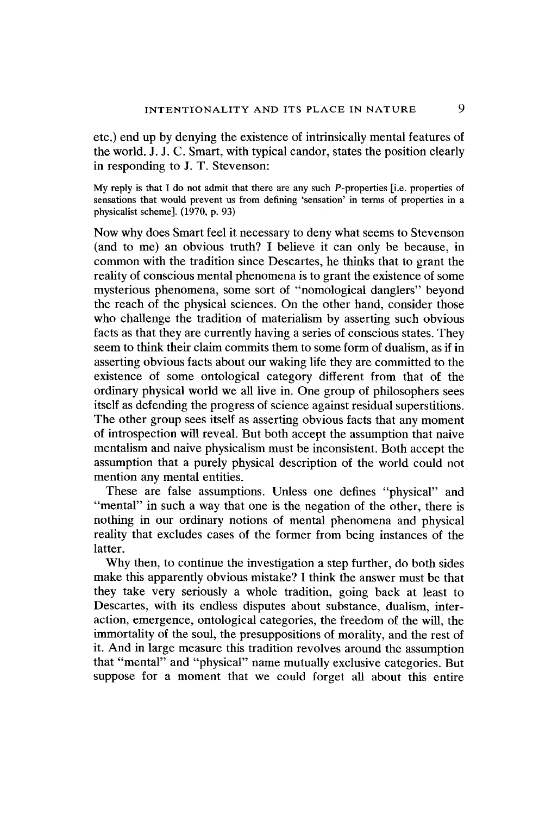etc,) end up by denying the existence of intrinsically mental features of the world. J. J. C. Smart, with typical candor, states the position clearly in responding to J. T. Stevenson:

My reply is that I do not admit that there are any such  $P$ -properties [i.e. properties of sensations that would prevent us from defining 'sensation' in terms of properties in a physicalist scheme]. (1970, p. 93)

Now why does Smart feel it necessary to deny what seems to Stevenson (and to me) an obvious truth? I believe it can only be because, in common with the tradition since Descartes, he thinks that to grant the reality of conscious mental phenomena is to grant the existence of some mysterious phenomena, some sort of "nomological danglers" beyond the reach of the physical sciences. On the other hand, consider those who challenge the tradition of materialism by asserting such obvious facts as that they are currently having a series of conscious states. They seem to think their claim commits them to some form of dualism, as if in asserting obvious facts about our waking life they are committed to the existence of some ontological category different from that of the ordinary physical world we all live in. One group of philosophers sees itself as defending the progress of science against residual superstitions. The other group sees itself as asserting obvious facts that any moment of introspection will reveal. But both accept the assumption that naive mentalism and naive physicalism must be inconsistent. Both accept the assumption that a purely physical description of the world could not mention any mental entities.

These are false assumptions. Unless one defines "physical" and "mental" in such a way that one is the negation of the other, there is nothing in our ordinary notions of mental phenomena and physical reality that excludes cases of the former from being instances of the latter.

Why then, to continue the investigation a step further, do both sides make this apparently obvious mistake? I think the answer must be that they take very seriously a whole tradition, going back at least to Descartes, with its endless disputes about substance, dualism, interaction, emergence, ontological categories, the freedom of the will, the immortality of the soul, the presuppositions of morality, and the rest of it. And in large measure this tradition revolves around the assumption that "mental" and "physical" name mutually exclusive categories. But suppose for a moment that we could forget all about this entire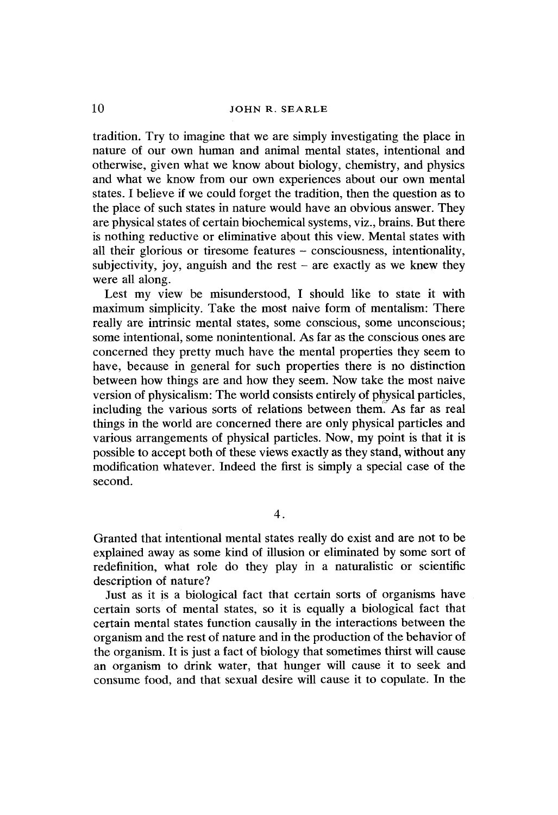tradition. Try to imagine that we are simply investigating the place in nature of our own human and animal mental states, intentional and otherwise, given what we know about biology, chemistry, and physics and what we know from our own experiences about our own mental states. I believe if we could forget the tradition, then the question as to the place of such states in nature would have an obvious answer. They are physical states of certain biochemical systems, viz., brains. But there is nothing reductive or eliminative about this view. Mental states with all their glorious or tiresome features - consciousness, intentionality, subjectivity, joy, anguish and the rest  $-$  are exactly as we knew they were all along.

Lest my view be misunderstood, I should like to state it with maximum simplicity. Take the most naive form of mentalism: There really are intrinsic mental states, some conscious, some unconscious; some intentional, some nonintentional. As far as the conscious ones are concerned they pretty much have the mental properties they seem to have, because in general for such properties there is no distinction between how things are and how they seem. Now take the most naive version of physicalism: The world consists entirely of physical particles, including the various sorts of relations between them. As far as real things in the world are concerned there are only physical particles and various arrangements of physical particles. Now, my point is that it is possible to accept both of these views exactly as they stand, without any modification whatever. Indeed the first is simply a special case of the second.

 $\overline{4}$  .

Granted that intentional mental states really do exist and are not to be explained away as some kind of illusion or eliminated by some sort of redefinition, what role do they play in a naturalistic or scientific description of nature?

Just as it is a biological fact that certain sorts of organisms have certain sorts of mental states, so it is equally a biological fact that certain mental states function causally in the interactions between the organism and the rest of nature and in the production of the behavior of the organism. It is just a fact of biology that sometimes thirst will cause an organism to drink water, that hunger will cause it to seek and consume food, and that sexual desire will cause it to copulate. In the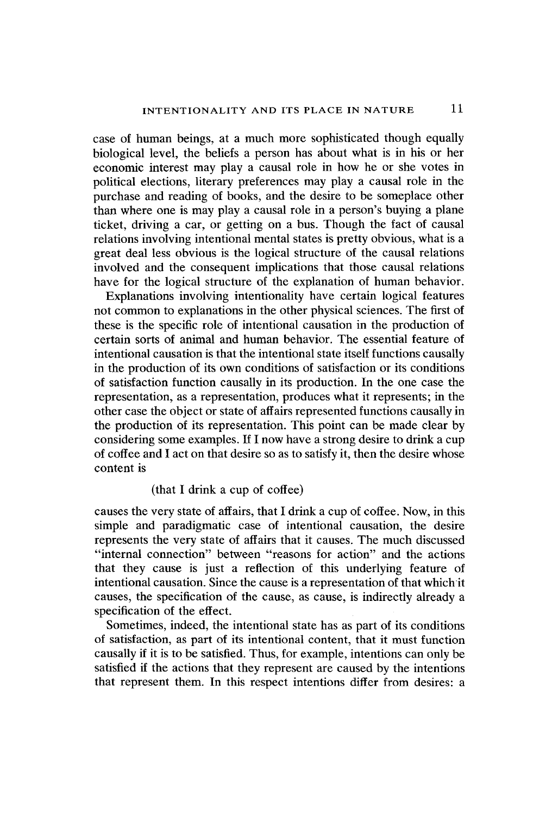case of human beings, at a much more sophisticated though equally biological level, the beliefs a person has about what is in his or her economic interest may play a causal role in how he or she votes in political elections, literary preferences may play a causal role in the purchase and reading of books, and the desire to be someplace other than where one is may play a causal role in a person's buying a plane ticket, driving a car, or getting on a bus. Though the fact of causal relations involving intentional mental states is pretty obvious, what is a great deal less obvious is the logical structure of the causal relations involved and the consequent implications that those causal relations have for the logical structure of the explanation of human behavior.

Explanations involving intentionality have certain logical features not common to explanations in the other physical sciences. The first of these is the specific role of intentional causation in the production of certain sorts of animal and human behavior. The essential feature of intentional causation is that the intentional state itself functions causally in the production of its own conditions of satisfaction or its conditions of satisfaction function causally in its production. In the one case the representation, as a representation, produces what it represents; in the other case the object or state of affairs represented functions causally in the production of its representation. This point can be made clear by considering some examples, ff I now have a strong desire to drink a cup of coffee and I act on that desire so as to satisfy it, then the desire whose content is

### (that I drink a cup of coffee)

causes the very state of affairs, that I drink a cup of coffee. Now, in this simple and paradigmatic case of intentional causation, the desire represents the very state of affairs that it causes. The much discussed "internal connection" between "reasons for action" and the actions that they cause is just a reflection of this underlying feature of intentional causation. Since the cause is a representation of that which it causes, the specification of the cause, as cause, is indirectly already a specification of the effect.

Sometimes, indeed, the intentional state has as part of its conditions of satisfaction, as part of its intentional content, that it must function causally if it is to be satisfied. Thus, for example, intentions can only be satisfied if the actions that they represent are caused by the intentions that represent them. In this respect intentions differ from desires: a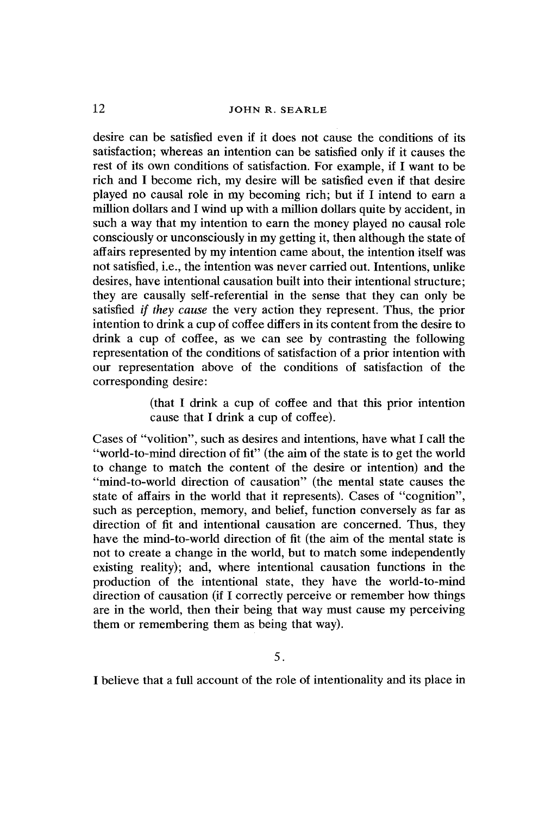## 12 JOHN R. SEARLE

desire can be satisfied even if it does not cause the conditions of its satisfaction; whereas an intention can be satisfied only if it causes the rest of its own conditions of satisfaction. For example, if I want to be rich and I become rich, my desire will be satisfied even if that desire played no causal role in my becoming rich; but if I intend to earn a million dollars and I wind up with a million dollars quite by accident, in such a way that my intention to earn the money played no causal role consciously or unconsciously in my getting it, then although the state of affairs represented by my intention came about, the intention itself was not satisfied, i.e., the intention was never carried out. Intentions, unlike desires, have intentional causation built into their intentional structure; they are causally self-referential in the sense that they can only be satisfied *if they cause* the very action they represent. Thus, the prior intention to drink a cup of coffee differs in its content from the desire to drink a cup of coffee, as we can see by contrasting the following representation of the conditions of satisfaction of a prior intention with our representation above of the conditions of satisfaction of the corresponding desire:

> (that I drink a cup of coffee and that this prior intention cause that I drink a cup of coffee).

Cases of "volition", such as desires and intentions, have what I call the "world-to-mind direction of fit" (the aim of the state is to get the world to change to match the content of the desire or intention) and the "mind-to-world direction of causation" (the mental state causes the state of affairs in the world that it represents). Cases of "cognition", such as perception, memory, and belief, function conversely as far as direction of fit and intentional causation are concerned. Thus, they have the mind-to-world direction of fit (the aim of the mental state is not to create a change in the world, but to match some independently existing reality); and, where intentional causation functions in the production of the intentional state, they have the world-to-mind direction of causation (if I correctly perceive or remember how things are in the world, then their being that way must cause my perceiving them or remembering them as being that way).

.

I believe that a full account of the role of intentionality and its place in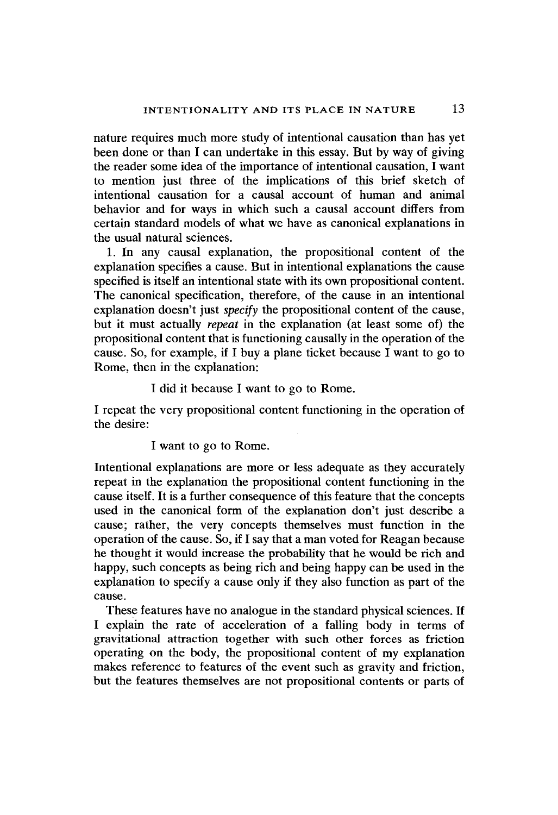nature requires much more study of intentional causation than has yet been done or than I can undertake in this essay. But by way of giving the reader some idea of the importance of intentional causation, I want to mention just three of the implications of this brief sketch of intentional causation for a causal account of human and animal behavior and for ways in which such a causal account differs from certain standard models of what we have as canonical explanations in the usual natural sciences.

1. In any causal explanation, the propositional content of the explanation specifies a cause. But in intentional explanations the cause specified is itself an intentional state with its own propositional content. The canonical specification, therefore, of the cause in an intentional explanation doesn't just *specify* the propositional content of the cause, but it must actually *repeat* in the explanation (at least some of) the propositional content that is functioning causally in the operation of the cause. So, for example, if I buy a plane ticket because I want to go to Rome, then in the explanation:

I did it because I want to go to Rome.

I repeat the very propositional content functioning in the operation of the desire:

I want to go to Rome.

Intentional explanations are more or less adequate as they accurately repeat in the explanation the propositional content functioning in the cause itself. It is a further consequence of this feature that the concepts used in the canonical form of the explanation don't just describe a cause; rather, the very concepts themselves must function in the operation of the cause. So, if I say that a man voted for Reagan because he thought it would increase the probability that he would be rich and happy, such concepts as being rich and being happy can be used in the explanation to specify a cause only if they also function as part of the cause.

These features have no analogue in the standard physical sciences. If I explain the rate of acceleration of a falling body in terms of gravitational attraction together with such other forces as friction operating on the body, the propositional content of my explanation makes reference to features of the event such as gravity and friction, but the features themselves are not propositional contents or parts of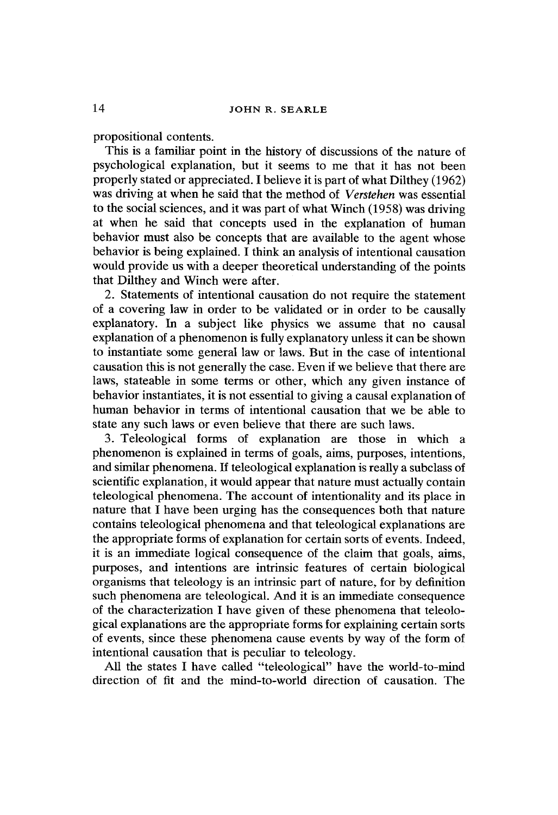propositional contents.

This is a familiar point in the history of discussions of the nature of psychological explanation, but it seems to me that it has not been properly stated or appreciated. I believe it is part of what Dilthey (1962) was driving at when he said that the method of *Verstehen* was essential to the social sciences, and it was part of what Winch (1958) was driving at when he said that concepts used in the explanation of human behavior must also be concepts that are available to the agent whose behavior is being explained. I think an analysis of intentional causation would provide us with a deeper theoretical understanding of the points that Dilthey and Winch were after.

2. Statements of intentional causation do not require the statement of a covering law in order to be validated or in order to be causally explanatory. In a subject like physics we assume that no causal explanation of a phenomenon is fully explanatory unless it can be shown to instantiate some general law or laws. But in the case of intentional causation this is not generally the case. Even if we believe that there are laws, stateable in some terms or other, which any given instance of behavior instantiates, it is not essential to giving a causal explanation of human behavior in terms of intentional causation that we be able to state any such laws or even believe that there are such laws.

3. Teleological forms of explanation are those in which a phenomenon is explained in terms of goals, aims, purposes, intentions, and similar phenomena. If teleological explanation is really a subclass of scientific explanation, it would appear that nature must actually contain teleological phenomena. The account of intentionality and its place in nature that I have been urging has the consequences both that nature contains teleological phenomena and that teleological explanations are the appropriate forms of explanation for certain sorts of events. Indeed, it is an immediate logical consequence of the claim that goals, aims, purposes, and intentions are intrinsic features of certain biological organisms that teleology is an intrinsic part of nature, for by definition such phenomena are teleological. And it is an immediate consequence of the characterization I have given of these phenomena that teleological explanations are the appropriate forms for explaining certain sorts of events, since these phenomena cause events by way of the form of intentional causation that is peculiar to teleology.

All the states I have called "teleological" have the world-to-mind direction of fit and the mind-to-world direction of causation. The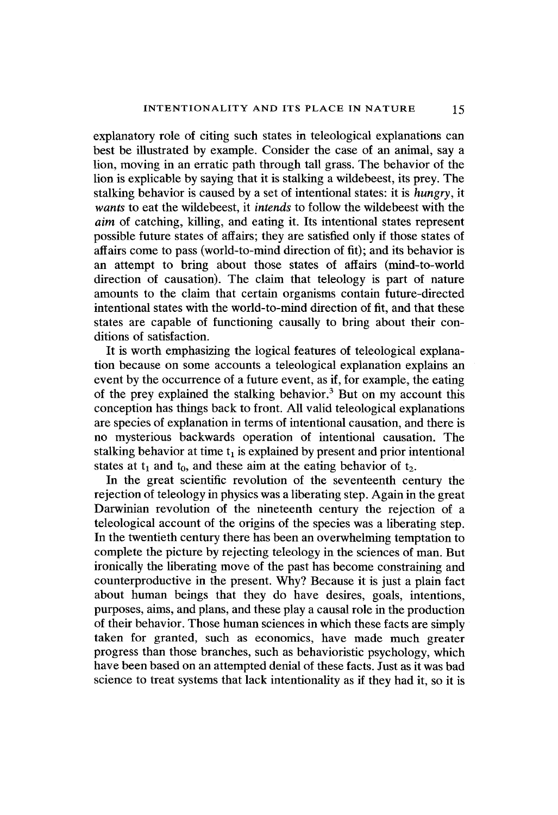explanatory role of citing such states in teleological explanations can best be illustrated by example. Consider the case of an animal, say a lion, moving in an erratic path through tall grass. The behavior of the lion is explicable by saying that it is stalking a wildebeest, its prey. The stalking behavior is caused by a set of intentional states: it is *hungry,* it *wants* to eat the wildebeest, it *intends* to follow the wildebeest with the *aim* of catching, killing, and eating it. Its intentional states represent possible future states of affairs; they are satisfied only if those states of affairs come to pass (world-to-mind direction of fit); and its behavior is an attempt to bring about those states of affairs (mind-to-world direction of causation). The claim that teleology is part of nature amounts to the claim that certain organisms contain future-directed intentional states with the world-to-mind direction of fit, and that these states are capable of functioning causally to bring about their conditions of satisfaction.

It is worth emphasizing the logical features of teleological explanation because on some accounts a teleological explanation explains an event by the occurrence of a future event, as if, for example, the eating of the prey explained the stalking behavior.<sup>3</sup> But on my account this conception has things back to front. All valid teleological explanations are species of explanation in terms of intentional causation, and there is no mysterious backwards operation of intentional causation. The stalking behavior at time  $t_1$  is explained by present and prior intentional states at  $t_1$  and  $t_0$ , and these aim at the eating behavior of  $t_2$ .

In the great scientific revolution of the seventeenth century the rejection of teleology in physics was a liberating step. Again in the great Darwinian revolution of the nineteenth century the rejection of a teleological account of the origins of the species was a liberating step. In the twentieth century there has been an overwhelming temptation to complete the picture by rejecting teleology in the sciences of man. But ironically the liberating move of the past has become constraining and counterproductive in the present. Why? Because it is just a plain fact about human beings that they do have desires, goals, intentions, purposes, aims, and plans, and these play a causal role in the production of their behavior. Those human sciences in which these facts are simply taken for granted, such as economics, have made much greater progress than those branches, such as behavioristic psychology, which have been based on an attempted denial of these facts. Just as it was bad science to treat systems that lack intentionality as if they had it, so it is